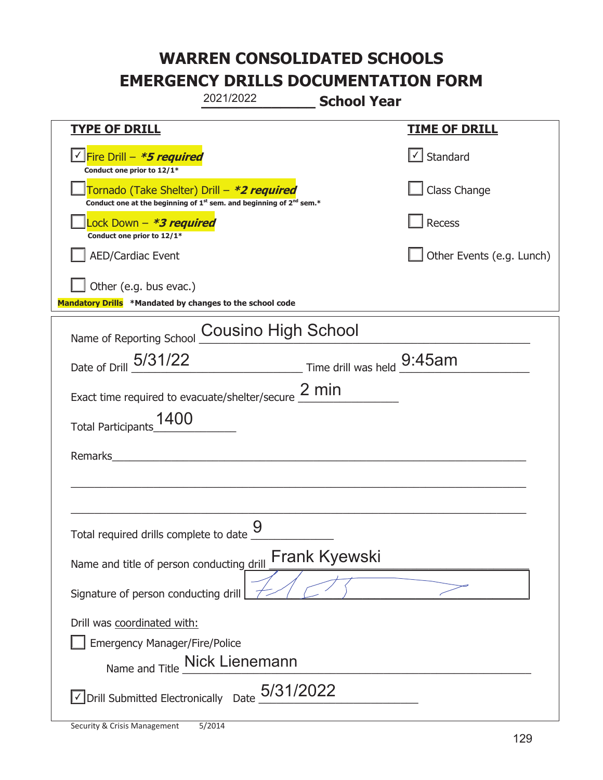|                                                                                                                                           | 2021/2022                     | <b>School Year</b>                                                        |                           |
|-------------------------------------------------------------------------------------------------------------------------------------------|-------------------------------|---------------------------------------------------------------------------|---------------------------|
| <b>TYPE OF DRILL</b>                                                                                                                      |                               |                                                                           | <b>TIME OF DRILL</b>      |
| <u> √ <mark>Fire Drill – <i>*<b>5 required</b></i></mark></u><br>Conduct one prior to 12/1*                                               |                               |                                                                           | √ Standard                |
| Tornado (Take Shelter) Drill – *2 required<br>Conduct one at the beginning of 1 <sup>st</sup> sem. and beginning of 2 <sup>nd</sup> sem.* |                               |                                                                           | Class Change              |
| Lock Down - <b>*3 required</b><br>Conduct one prior to 12/1*                                                                              |                               |                                                                           | Recess                    |
| <b>AED/Cardiac Event</b>                                                                                                                  |                               |                                                                           | Other Events (e.g. Lunch) |
| Other (e.g. bus evac.)<br>Mandatory Drills *Mandated by changes to the school code                                                        |                               |                                                                           |                           |
| Name of Reporting School                                                                                                                  | <b>Cousino High School</b>    |                                                                           |                           |
| Date of Drill 5/31/22                                                                                                                     |                               | $\frac{9:45}{\frac{1}{2}}$ Time drill was held $\frac{9:45}{\frac{1}{2}}$ |                           |
| Exact time required to evacuate/shelter/secure $2 \text{ min}$                                                                            |                               |                                                                           |                           |
| 1400<br><b>Total Participants</b>                                                                                                         |                               |                                                                           |                           |
| Remarks                                                                                                                                   |                               |                                                                           |                           |
|                                                                                                                                           |                               |                                                                           |                           |
|                                                                                                                                           |                               |                                                                           |                           |
| Total required drills complete to date _                                                                                                  | $\mathbf Q$                   |                                                                           |                           |
| Name and title of person conducting drill                                                                                                 |                               | <b>Frank Kyewski</b>                                                      |                           |
| Signature of person conducting drill                                                                                                      |                               |                                                                           |                           |
| Drill was coordinated with:                                                                                                               |                               |                                                                           |                           |
| <b>Emergency Manager/Fire/Police</b>                                                                                                      |                               |                                                                           |                           |
|                                                                                                                                           | Name and Title Mick Lienemann |                                                                           |                           |
| $\sqrt{\phantom{a}}$ Drill Submitted Electronically Date $_0$ 5/31/2022                                                                   |                               |                                                                           |                           |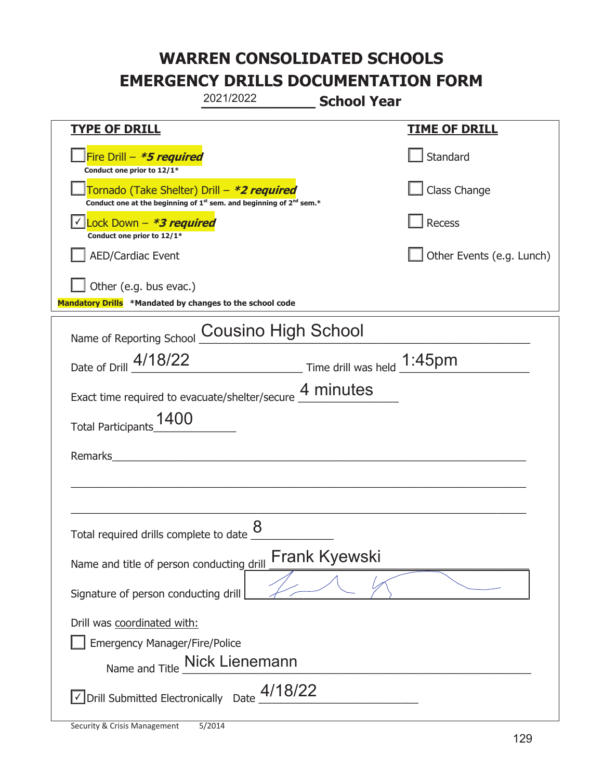|                                                                                                                                           | 2021/2022                      | <b>School Year</b>         |                           |
|-------------------------------------------------------------------------------------------------------------------------------------------|--------------------------------|----------------------------|---------------------------|
| <b>TYPE OF DRILL</b>                                                                                                                      |                                |                            | <u>TIME OF DRILL</u>      |
| Fire Drill - *5 required<br>Conduct one prior to 12/1*                                                                                    |                                |                            | Standard                  |
| Tornado (Take Shelter) Drill – *2 required<br>Conduct one at the beginning of 1 <sup>st</sup> sem. and beginning of 2 <sup>nd</sup> sem.* |                                |                            | Class Change              |
| Lock Down - *3 required<br>Conduct one prior to 12/1*                                                                                     |                                |                            | Recess                    |
| <b>AED/Cardiac Event</b>                                                                                                                  |                                |                            | Other Events (e.g. Lunch) |
| Other (e.g. bus evac.)<br>Mandatory Drills *Mandated by changes to the school code                                                        |                                |                            |                           |
| Name of Reporting School Cousino High School                                                                                              |                                |                            |                           |
| Date of Drill 4/18/22                                                                                                                     |                                | Time drill was held 1:45pm |                           |
| Exact time required to evacuate/shelter/secure 4 minutes                                                                                  |                                |                            |                           |
| 1400<br><b>Total Participants</b>                                                                                                         |                                |                            |                           |
| Remarks                                                                                                                                   |                                |                            |                           |
|                                                                                                                                           |                                |                            |                           |
| Total required drills complete to date $\underline{\mathcal{8}}$                                                                          |                                |                            |                           |
| Name and title of person conducting drill                                                                                                 |                                | Frank Kyewski              |                           |
| Signature of person conducting drill                                                                                                      |                                |                            |                           |
| Drill was coordinated with:<br><b>Emergency Manager/Fire/Police</b>                                                                       | Name and Title _Nick Lienemann |                            |                           |
| $\vee$ Drill Submitted Electronically Date $\frac{4/18/22}{\cdots}$                                                                       |                                |                            |                           |

t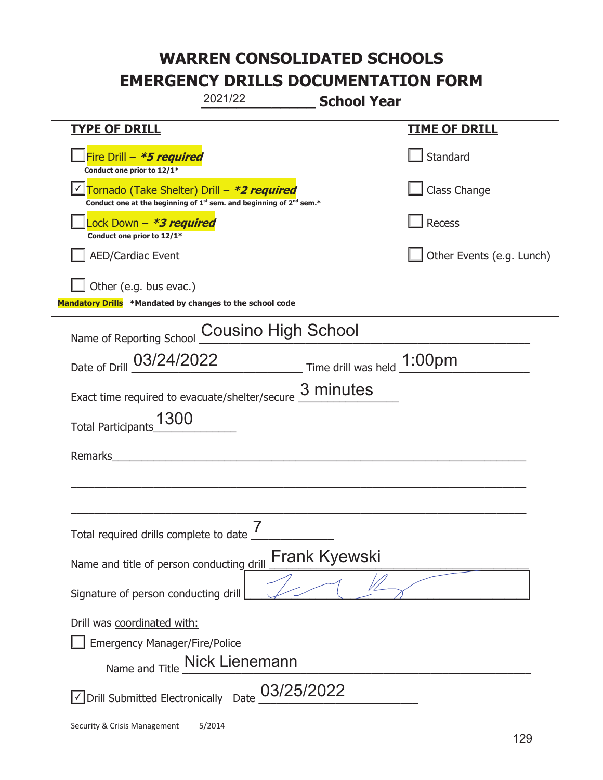|                                                                                    | 2021/22<br><b>School Year</b>                                                               |                           |
|------------------------------------------------------------------------------------|---------------------------------------------------------------------------------------------|---------------------------|
| <b>TYPE OF DRILL</b>                                                               |                                                                                             | <u>TIME OF DRILL</u>      |
| Fire Drill - *5 required<br>Conduct one prior to 12/1*                             |                                                                                             | Standard                  |
| Tornado (Take Shelter) Drill – *2 required                                         | Conduct one at the beginning of 1 <sup>st</sup> sem. and beginning of 2 <sup>nd</sup> sem.* | Class Change              |
| Lock Down – <i>*<b>3 required</b></i><br>Conduct one prior to 12/1*                |                                                                                             | <b>Recess</b>             |
| AED/Cardiac Event                                                                  |                                                                                             | Other Events (e.g. Lunch) |
| Other (e.g. bus evac.)<br>Mandatory Drills *Mandated by changes to the school code |                                                                                             |                           |
| Name of Reporting School                                                           | Cousino High School                                                                         |                           |
|                                                                                    | Date of Drill 03/24/2022 Time drill was held 1:00pm                                         |                           |
|                                                                                    | Exact time required to evacuate/shelter/secure $\frac{3 \text{ minutes}}{4}$                |                           |
| 1300<br><b>Total Participants</b>                                                  |                                                                                             |                           |
| Remarks                                                                            |                                                                                             |                           |
|                                                                                    |                                                                                             |                           |
| Total required drills complete to date                                             | $\overline{7}$                                                                              |                           |
| Name and title of person conducting drill                                          | <b>Frank Kyewski</b>                                                                        |                           |
| Signature of person conducting drill                                               |                                                                                             |                           |
| Drill was coordinated with:<br><b>Emergency Manager/Fire/Police</b>                | Name and Title _Nick Lienemann                                                              |                           |
| √ Drill Submitted Electronically                                                   | 03/25/2022<br>Date                                                                          |                           |

T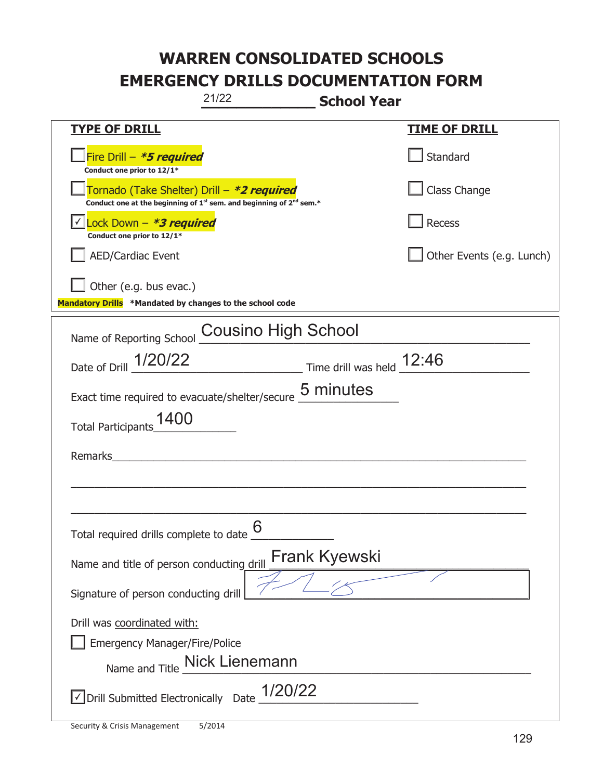|                                                                                    | 21/22<br><b>School Year</b>                                                                 |                           |
|------------------------------------------------------------------------------------|---------------------------------------------------------------------------------------------|---------------------------|
| <u>TYPE OF DRILL</u>                                                               |                                                                                             | <u>TIME OF DRILL</u>      |
| Fire Drill - *5 required<br>Conduct one prior to 12/1*                             |                                                                                             | Standard                  |
| Tornado (Take Shelter) Drill – *2 required                                         | Conduct one at the beginning of 1 <sup>st</sup> sem. and beginning of 2 <sup>nd</sup> sem.* | Class Change              |
| Lock Down - <b>*3 required</b><br>Conduct one prior to 12/1*                       |                                                                                             | Recess                    |
| AED/Cardiac Event                                                                  |                                                                                             | Other Events (e.g. Lunch) |
| Other (e.g. bus evac.)<br>Mandatory Drills *Mandated by changes to the school code |                                                                                             |                           |
| Name of Reporting School                                                           | Cousino High School                                                                         |                           |
| Date of Drill 1/20/22                                                              | $\frac{12:46}{\frac{12:46}{12:46}}$                                                         |                           |
|                                                                                    | Exact time required to evacuate/shelter/secure 5 minutes                                    |                           |
| 1400<br><b>Total Participants</b>                                                  |                                                                                             |                           |
| Remarks                                                                            |                                                                                             |                           |
|                                                                                    |                                                                                             |                           |
| Total required drills complete to date                                             | 6                                                                                           |                           |
| Name and title of person conducting drill                                          | <b>Frank Kyewski</b>                                                                        |                           |
| Signature of person conducting drill                                               |                                                                                             |                           |
| Drill was coordinated with:<br><b>Emergency Manager/Fire/Police</b>                | Name and Title Nick Lienemann                                                               |                           |
| √ Drill Submitted Electronically Date                                              | 1/20/22                                                                                     |                           |

I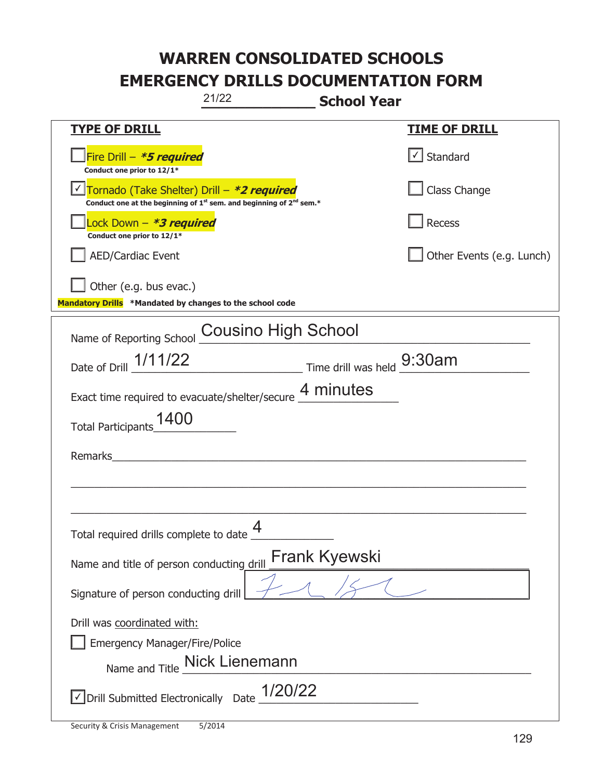| 21/22                                                                                                                                     | <b>School Year</b>         |
|-------------------------------------------------------------------------------------------------------------------------------------------|----------------------------|
| <b>TYPE OF DRILL</b>                                                                                                                      | <u>TIME OF DRILL</u>       |
| Fire Drill - *5 required<br>Conduct one prior to 12/1*                                                                                    | $\vert$ Standard           |
| Tornado (Take Shelter) Drill - *2 required<br>Conduct one at the beginning of 1 <sup>st</sup> sem. and beginning of 2 <sup>nd</sup> sem.* | Class Change               |
| Lock Down – <i>*<b>3 required</b></i><br>Conduct one prior to 12/1*                                                                       | Recess                     |
| <b>AED/Cardiac Event</b>                                                                                                                  | Other Events (e.g. Lunch)  |
| Other (e.g. bus evac.)<br>Mandatory Drills *Mandated by changes to the school code                                                        |                            |
| <b>Cousino High School</b><br>Name of Reporting School                                                                                    |                            |
| Date of Drill 1/11/22                                                                                                                     | Time drill was held 9:30am |
| Exact time required to evacuate/shelter/secure 4 minutes                                                                                  |                            |
| Total Participants_1400                                                                                                                   |                            |
| Remarks                                                                                                                                   |                            |
|                                                                                                                                           |                            |
| $\boldsymbol{\Delta}$<br>Total required drills complete to date                                                                           |                            |
| Name and title of person conducting drill                                                                                                 | <b>Frank Kyewski</b>       |
| Signature of person conducting drill                                                                                                      |                            |
| Drill was coordinated with:                                                                                                               |                            |
| <b>Emergency Manager/Fire/Police</b>                                                                                                      |                            |
| Name and Title Mick Lienemann                                                                                                             |                            |
| $\vee$ Drill Submitted Electronically Date $1/20/22$                                                                                      |                            |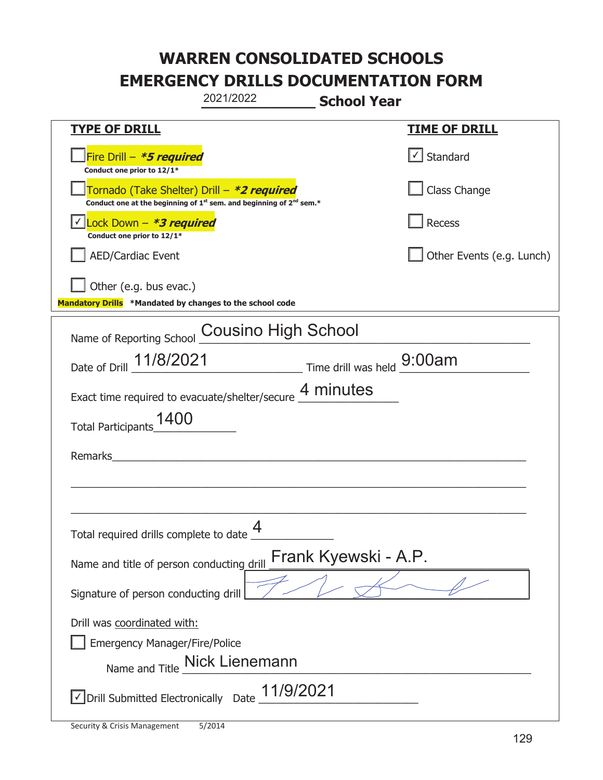|                                                                                    | 2021/2022                                                                                   | <b>School Year</b>   |                           |
|------------------------------------------------------------------------------------|---------------------------------------------------------------------------------------------|----------------------|---------------------------|
| <u>TYPE OF DRILL</u>                                                               |                                                                                             |                      | <u>TIME OF DRILL</u>      |
| Fire Drill - *5 required<br>Conduct one prior to 12/1*                             |                                                                                             |                      | Standard                  |
| Tornado (Take Shelter) Drill – *2 required                                         | Conduct one at the beginning of 1 <sup>st</sup> sem. and beginning of 2 <sup>nd</sup> sem.* |                      | Class Change              |
| Lock Down - <b>*3 required</b><br>Conduct one prior to 12/1*                       |                                                                                             |                      | <b>Recess</b>             |
| AED/Cardiac Event                                                                  |                                                                                             |                      | Other Events (e.g. Lunch) |
| Other (e.g. bus evac.)<br>Mandatory Drills *Mandated by changes to the school code |                                                                                             |                      |                           |
| Name of Reporting School                                                           | <b>Cousino High School</b>                                                                  |                      |                           |
|                                                                                    | Date of Drill 11/8/2021 Time drill was held 9:00am                                          |                      |                           |
|                                                                                    | Exact time required to evacuate/shelter/secure 4 minutes                                    |                      |                           |
| 1400<br><b>Total Participants</b>                                                  |                                                                                             |                      |                           |
| Remarks                                                                            |                                                                                             |                      |                           |
|                                                                                    |                                                                                             |                      |                           |
| Total required drills complete to date                                             | 4                                                                                           |                      |                           |
| Name and title of person conducting drill                                          |                                                                                             | Frank Kyewski - A.P. |                           |
| Signature of person conducting drill                                               |                                                                                             |                      |                           |
| Drill was coordinated with:<br><b>Emergency Manager/Fire/Police</b>                | Name and Title _Nick Lienemann                                                              |                      |                           |
| √ Drill Submitted Electronically Date                                              | 11/9/2021                                                                                   |                      |                           |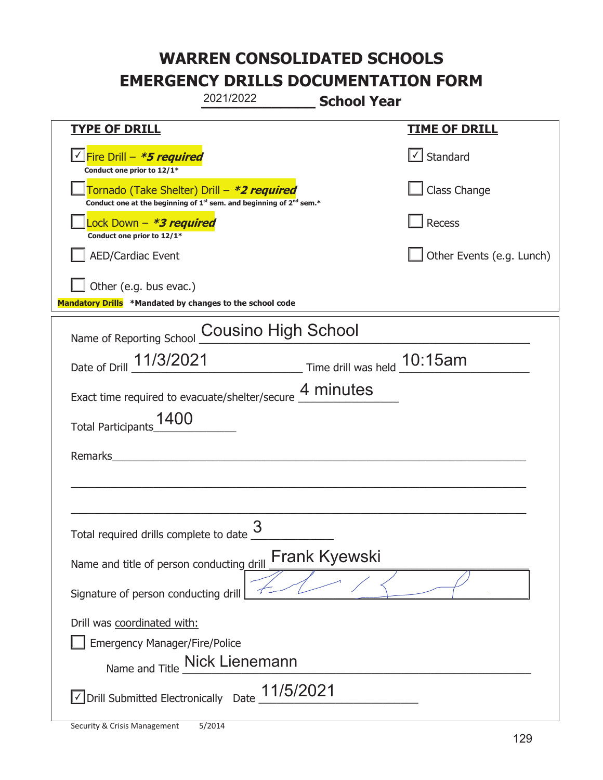|                                                                                    | 2021/2022<br><b>School Year</b>                                                             |                           |
|------------------------------------------------------------------------------------|---------------------------------------------------------------------------------------------|---------------------------|
| <b>TYPE OF DRILL</b>                                                               |                                                                                             | <b>TIME OF DRILL</b>      |
| Conduct one prior to 12/1*                                                         |                                                                                             | √ Standard                |
| Tornado (Take Shelter) Drill – *2 required                                         | Conduct one at the beginning of 1 <sup>st</sup> sem. and beginning of 2 <sup>nd</sup> sem.* | Class Change              |
| Lock Down - *3 required<br>Conduct one prior to 12/1*                              |                                                                                             | Recess                    |
| AED/Cardiac Event                                                                  |                                                                                             | Other Events (e.g. Lunch) |
| Other (e.g. bus evac.)<br>Mandatory Drills *Mandated by changes to the school code |                                                                                             |                           |
| Name of Reporting School                                                           | <b>Cousino High School</b>                                                                  |                           |
|                                                                                    | Date of Drill 11/3/2021 Time drill was held 10:15am                                         |                           |
|                                                                                    | Exact time required to evacuate/shelter/secure 4 minutes                                    |                           |
| 1400<br><b>Total Participants</b>                                                  |                                                                                             |                           |
| Remarks                                                                            |                                                                                             |                           |
|                                                                                    |                                                                                             |                           |
|                                                                                    |                                                                                             |                           |
| Total required drills complete to date $\frac{3}{2}$                               |                                                                                             |                           |
| Name and title of person conducting drill                                          | <b>Frank Kyewski</b>                                                                        |                           |
| Signature of person conducting drill                                               |                                                                                             |                           |
| Drill was coordinated with:                                                        |                                                                                             |                           |
| <b>Emergency Manager/Fire/Police</b>                                               |                                                                                             |                           |
|                                                                                    | Name and Title Mick Lienemann                                                               |                           |
| √ Drill Submitted Electronically Date                                              | 11/5/2021                                                                                   |                           |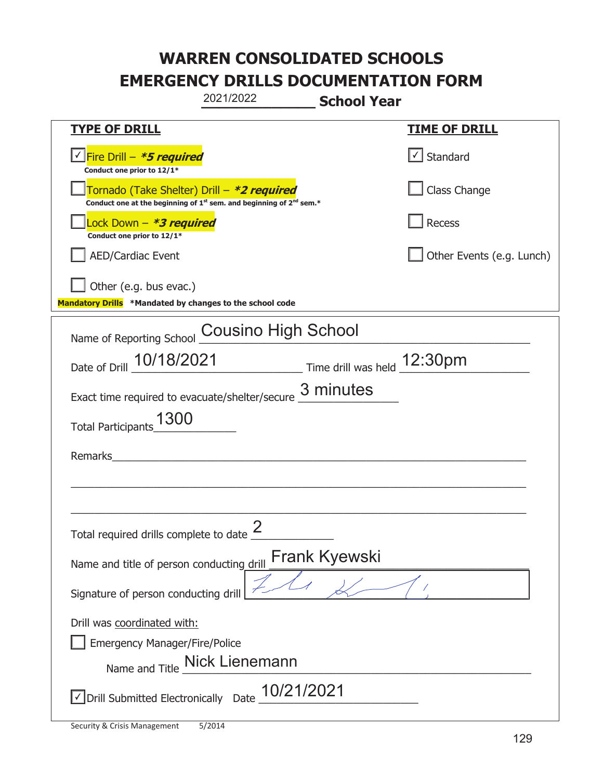|                                                                                                                                           | 2021/2022                     | <b>School Year</b>   |                           |
|-------------------------------------------------------------------------------------------------------------------------------------------|-------------------------------|----------------------|---------------------------|
| <b>TYPE OF DRILL</b>                                                                                                                      |                               |                      | <u>TIME OF DRILL</u>      |
| <u>√ Fire Drill – *5 required</u><br>Conduct one prior to 12/1*                                                                           |                               |                      | √ Standard                |
| Tornado (Take Shelter) Drill – *2 required<br>Conduct one at the beginning of 1 <sup>st</sup> sem. and beginning of 2 <sup>nd</sup> sem.* |                               |                      | Class Change              |
| ock Down – <b>*3 required</b><br>Conduct one prior to 12/1*                                                                               |                               |                      | Recess                    |
| <b>AED/Cardiac Event</b>                                                                                                                  |                               |                      | Other Events (e.g. Lunch) |
| Other (e.g. bus evac.)<br>Mandatory Drills *Mandated by changes to the school code                                                        |                               |                      |                           |
| Name of Reporting School                                                                                                                  | <b>Cousino High School</b>    |                      |                           |
| Date of Drill 10/18/2021 Time drill was held 12:30pm                                                                                      |                               |                      |                           |
| Exact time required to evacuate/shelter/secure $\underline{3}$ minutes                                                                    |                               |                      |                           |
| Total Participants_1300                                                                                                                   |                               |                      |                           |
| Remarks                                                                                                                                   |                               |                      |                           |
|                                                                                                                                           |                               |                      |                           |
| Total required drills complete to date $\frac{2}{3}$                                                                                      |                               |                      |                           |
| Name and title of person conducting drill                                                                                                 |                               | <b>Frank Kyewski</b> |                           |
| Signature of person conducting drill                                                                                                      |                               |                      |                           |
| Drill was coordinated with:<br><b>Emergency Manager/Fire/Police</b>                                                                       | Name and Title Mick Lienemann |                      |                           |
| √ Drill Submitted Electronically Date                                                                                                     | 10/21/2021                    |                      |                           |

t